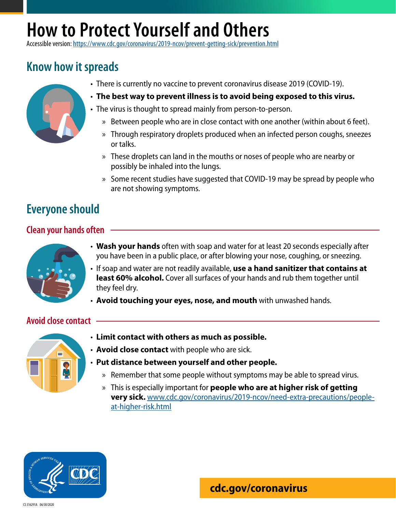# **How to Protect Yourself and Others**

Accessible version: <https://www.cdc.gov/coronavirus/2019-ncov/prevent-getting-sick/prevention.html>

## **Know how it spreads**



- There is currently no vaccine to prevent coronavirus disease 2019 (COVID-19).
- **The best way to prevent illness is to avoid being exposed to this virus.**
- The virus is thought to spread mainly from person-to-person.
	- » Between people who are in close contact with one another (within about 6 feet).
	- » Through respiratory droplets produced when an infected person coughs, sneezes or talks.
	- » These droplets can land in the mouths or noses of people who are nearby or possibly be inhaled into the lungs.
	- » Some recent studies have suggested that COVID-19 may be spread by people who are not showing symptoms.

## **Everyone should**

#### **Clean your hands often**



- **Wash your hands** often with soap and water for at least 20 seconds especially after you have been in a public place, or after blowing your nose, coughing, or sneezing.
- If soap and water are not readily available, **use a hand sanitizer that contains at least 60% alcohol.** Cover all surfaces of your hands and rub them together until they feel dry.
- **Avoid touching your eyes, nose, and mouth** with unwashed hands.

#### **Avoid close contact**



- **Limit contact with others as much as possible.**
- **Avoid close contact** with people who are sick.
- **Put distance between yourself and other people.**
	- » Remember that some people without symptoms may be able to spread virus.
	- » This is especially important for **people who are at higher risk of getting very sick.** [www.cdc.gov/coronavirus/2019-ncov/need-extra-precautions/people](http://www.cdc.gov/coronavirus/2019-ncov/need-extra-precautions/people-at-higher-risk.html)[at-higher-risk.html](http://www.cdc.gov/coronavirus/2019-ncov/need-extra-precautions/people-at-higher-risk.html)